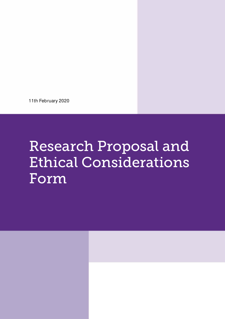11th February 2020

# Research Proposal and Ethical Considerations Form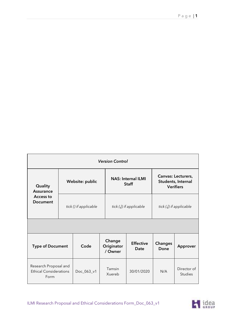| <b>Version Control</b>                                             |                       |            |                                 |                                               |                        |                                                                     |  |  |  |
|--------------------------------------------------------------------|-----------------------|------------|---------------------------------|-----------------------------------------------|------------------------|---------------------------------------------------------------------|--|--|--|
| <b>Quality</b><br><b>Assurance</b><br>Access to<br><b>Document</b> | Website: public       |            |                                 | <b>NAS: Internal ILMI</b><br><b>Staff</b>     |                        | <b>Canvas: Lecturers,</b><br>Students, Internal<br><b>Verifiers</b> |  |  |  |
|                                                                    | tick () if applicable |            |                                 | tick $\langle \sqrt{j} \rangle$ if applicable |                        | tick $(\sqrt{})$ if applicable                                      |  |  |  |
|                                                                    |                       |            |                                 |                                               |                        |                                                                     |  |  |  |
| <b>Type of Document</b>                                            |                       | Code       | Change<br>Originator<br>/ Owner | <b>Effective</b><br>Date                      | <b>Changes</b><br>Done | Approver                                                            |  |  |  |
| Research Proposal and<br><b>Ethical Considerations</b><br>Form     |                       | Doc_063_v1 | Tamsin<br>Xuereb                | 30/01/2020                                    | N/A                    | Director of<br><b>Studies</b>                                       |  |  |  |



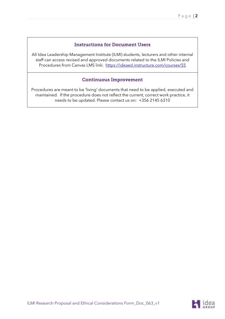### Instructions for Document Users

All Idea Leadership Management Institute (ILMI) students, lecturers and other internal staff can access revised and approved documents related to the ILMI Policies and Procedures from Canvas LMS link: <https://ideaed.instructure.com/courses/55>

### Continuous Improvement

Procedures are meant to be 'living' documents that need to be applied, executed and maintained. If the procedure does not reflect the current, correct work practice, it needs to be updated. Please contact us on: +356 2145 6310

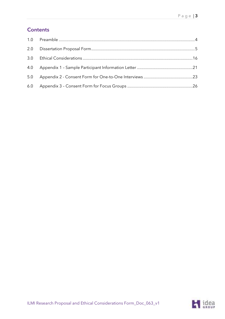# **Contents**

| 2.0 |  |
|-----|--|
|     |  |
| 4.0 |  |
| 5.0 |  |
| 6.0 |  |

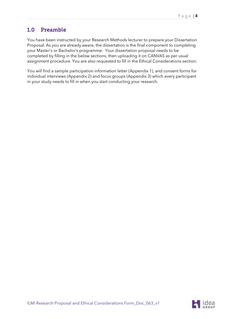# <span id="page-4-0"></span>1.0 Preamble

You have been instructed by your Research Methods lecturer to prepare your Dissertation Proposal. As you are already aware, the dissertation is the final component to completing your Master's or Bachelor's programme. Your dissertation proposal needs to be completed by filling in the below sections, then uploading it on CANVAS as per usual assignment procedure. You are also requested to fill in the Ethical Considerations section.

You will find a sample participation information letter (Appendix 1), and consent forms for individual interviews (Appendix 2) and focus groups (Appendix 3) which every participant in your study needs to fill in when you start conducting your research.

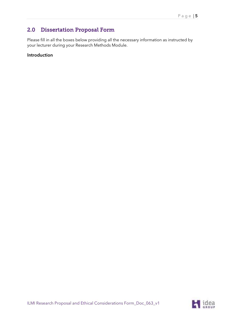# <span id="page-5-0"></span>2.0 Dissertation Proposal Form

Please fill in all the boxes below providing all the necessary information as instructed by your lecturer during your Research Methods Module.

#### Introduction

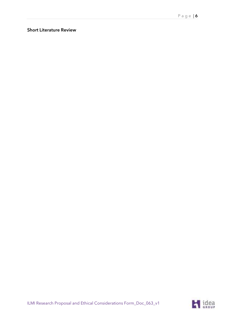### Short Literature Review

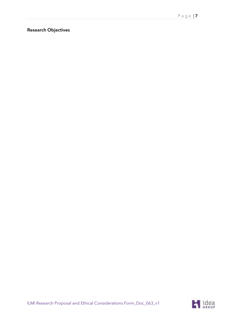# Research Objectives

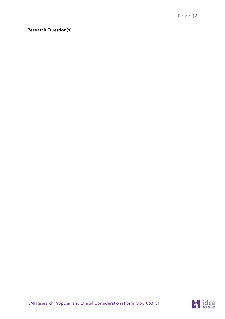# Research Question(s)

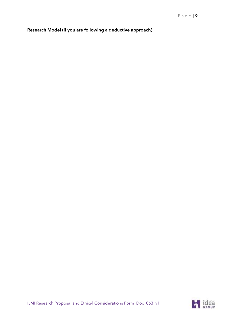Research Model (if you are following a deductive approach)

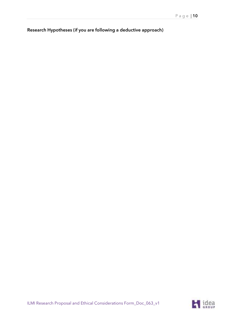Research Hypotheses (if you are following a deductive approach)

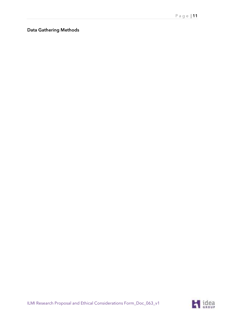# Data Gathering Methods

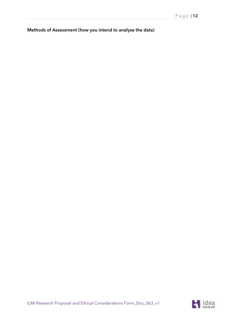Methods of Assessment (how you intend to analyse the data)

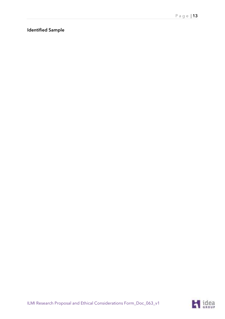# Identified Sample

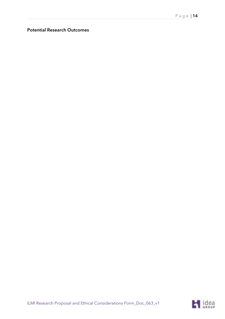### Potential Research Outcomes

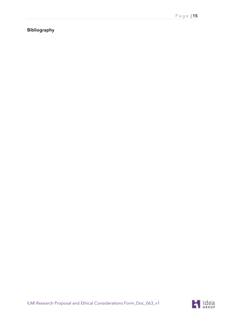# Bibliography

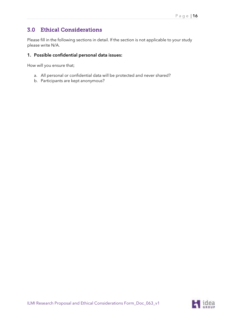# <span id="page-16-0"></span>3.0 Ethical Considerations

Please fill in the following sections in detail. If the section is not applicable to your study please write N/A.

### 1. Possible confidential personal data issues:

How will you ensure that;

- a. All personal or confidential data will be protected and never shared?
- b. Participants are kept anonymous?

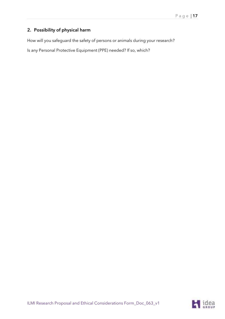### 2. Possibility of physical harm

How will you safeguard the safety of persons or animals during your research?

Is any Personal Protective Equipment (PPE) needed? If so, which?

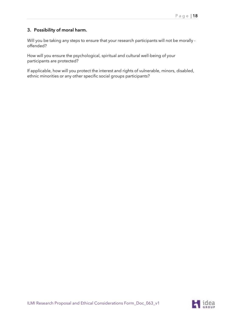### 3. Possibility of moral harm.

Will you be taking any steps to ensure that your research participants will not be morally offended?

How will you ensure the psychological, spiritual and cultural well-being of your participants are protected?

If applicable, how will you protect the interest and rights of vulnerable, minors, disabled, ethnic minorities or any other specific social groups participants?

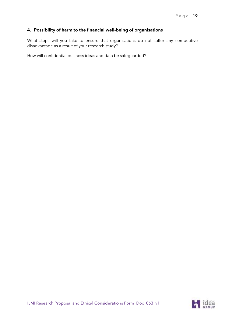### 4. Possibility of harm to the financial well-being of organisations

What steps will you take to ensure that organisations do not suffer any competitive disadvantage as a result of your research study?

How will confidential business ideas and data be safeguarded?

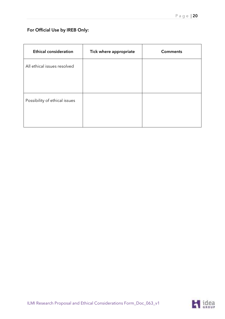# For Official Use by IREB Only:

| <b>Ethical consideration</b>  | Tick where appropriate | <b>Comments</b> |
|-------------------------------|------------------------|-----------------|
| All ethical issues resolved   |                        |                 |
| Possibility of ethical issues |                        |                 |

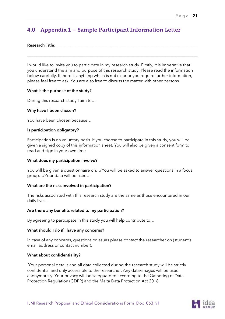# <span id="page-21-0"></span>4.0 Appendix 1 – Sample Participant Information Letter

#### Research Title:

I would like to invite you to participate in my research study. Firstly, it is imperative that you understand the aim and purpose of this research study. Please read the information below carefully. If there is anything which is not clear or you require further information, please feel free to ask. You are also free to discuss the matter with other persons.

\_\_\_\_\_\_\_\_\_\_\_\_\_\_\_\_\_\_\_\_\_\_\_\_\_\_\_\_\_\_\_\_\_\_\_\_\_\_\_\_\_\_\_\_\_\_\_\_\_\_\_\_\_\_\_\_\_\_\_\_\_\_\_\_\_\_\_\_\_\_\_\_\_\_\_\_\_\_\_\_\_\_

#### What is the purpose of the study?

During this research study I aim to…

#### Why have I been chosen?

You have been chosen because…

#### Is participation obligatory?

Participation is on voluntary basis. If you choose to participate in this study, you will be given a signed copy of this information sheet. You will also be given a consent form to read and sign in your own time.

#### What does my participation involve?

You will be given a questionnaire on…/You will be asked to answer questions in a focus group…/Your data will be used…

#### What are the risks involved in participation?

The risks associated with this research study are the same as those encountered in our daily lives…

#### Are there any benefits related to my participation?

By agreeing to participate in this study you will help contribute to…

#### What should I do if I have any concerns?

In case of any concerns, questions or issues please contact the researcher on (student's email address or contact number).

#### What about confidentiality?

Your personal details and all data collected during the research study will be strictly confidential and only accessible to the researcher. Any data/images will be used anonymously. Your privacy will be safeguarded according to the Gathering of Data Protection Regulation (GDPR) and the Malta Data Protection Act 2018.

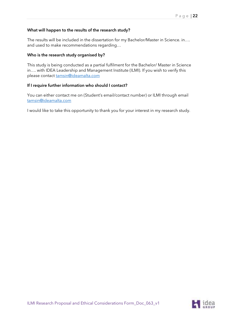#### What will happen to the results of the research study?

The results will be included in the dissertation for my Bachelor/Master in Science. in…. and used to make recommendations regarding…

#### Who is the research study organised by?

This study is being conducted as a partial fulfilment for the Bachelor/ Master in Science in…. with IDEA Leadership and Management Institute (ILMI). If you wish to verify this please contact [tamsin@ideamalta.com](mailto:tamsin@ideamalta.com) 

#### If I require further information who should I contact?

You can either contact me on (Student's email/contact number) or ILMI through email [tamsin@ideamalta.com](mailto:tamsin@ideamalta.com) 

I would like to take this opportunity to thank you for your interest in my research study.

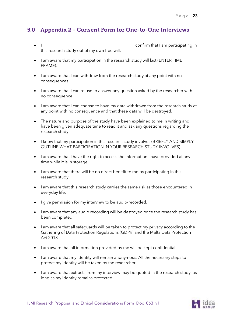# <span id="page-23-0"></span>5.0 Appendix 2 - Consent Form for One-to-One Interviews

- $\Box$ this research study out of my own free will.
- I am aware that my participation in the research study will last (ENTER TIME FRAME).
- I am aware that I can withdraw from the research study at any point with no consequences.
- I am aware that I can refuse to answer any question asked by the researcher with no consequence.
- I am aware that I can choose to have my data withdrawn from the research study at any point with no consequence and that these data will be destroyed.
- The nature and purpose of the study have been explained to me in writing and I have been given adequate time to read it and ask any questions regarding the research study.
- I know that my participation in this research study involves (BRIEFLY AND SIMPLY OUTLINE WHAT PARTICIPATION IN YOUR RESEARCH STUDY INVOLVES)
- I am aware that I have the right to access the information I have provided at any time while it is in storage.
- I am aware that there will be no direct benefit to me by participating in this research study.
- I am aware that this research study carries the same risk as those encountered in everyday life.
- I give permission for my interview to be audio-recorded.
- I am aware that any audio recording will be destroyed once the research study has been completed.
- I am aware that all safeguards will be taken to protect my privacy according to the Gathering of Data Protection Regulations (GDPR) and the Malta Data Protection Act 2018.
- I am aware that all information provided by me will be kept confidential.
- I am aware that my identity will remain anonymous. All the necessary steps to protect my identity will be taken by the researcher.
- I am aware that extracts from my interview may be quoted in the research study, as long as my identity remains protected.



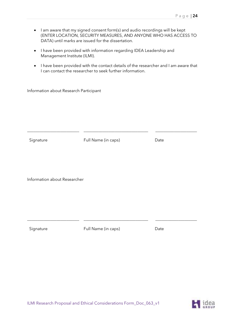- I am aware that my signed consent form(s) and audio recordings will be kept (ENTER LOCATION, SECURITY MEASURES, AND ANYONE WHO HAS ACCESS TO DATA) until marks are issued for the dissertation.
- I have been provided with information regarding IDEA Leadership and Management Institute (ILMI).
- I have been provided with the contact details of the researcher and I am aware that I can contact the researcher to seek further information.

Information about Research Participant

Signature Full Name (in caps) Date

\_\_\_\_\_\_\_\_\_\_\_\_\_\_\_\_\_\_\_\_\_\_\_\_\_ \_\_\_\_\_\_\_\_\_\_\_\_\_\_\_\_\_\_\_\_\_\_\_\_\_\_\_\_\_\_\_ \_\_\_\_\_\_\_\_\_\_\_\_\_\_\_\_\_\_\_\_

Information about Researcher

Signature Full Name (in caps) Date

\_\_\_\_\_\_\_\_\_\_\_\_\_\_\_\_\_\_\_\_\_\_\_\_\_ \_\_\_\_\_\_\_\_\_\_\_\_\_\_\_\_\_\_\_\_\_\_\_\_\_\_\_\_\_\_\_ \_\_\_\_\_\_\_\_\_\_\_\_\_\_\_\_\_\_\_\_

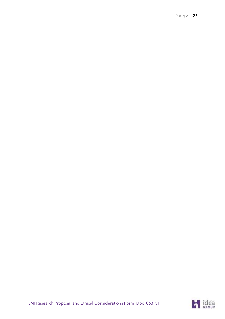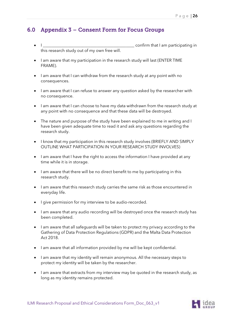## <span id="page-26-0"></span>6.0 Appendix 3 – Consent Form for Focus Groups

- $\parallel$   $\qquad \qquad$   $\qquad \qquad$  confirm that I am participating in this research study out of my own free will.
- I am aware that my participation in the research study will last (ENTER TIME FRAME).
- I am aware that I can withdraw from the research study at any point with no consequences.
- I am aware that I can refuse to answer any question asked by the researcher with no consequence.
- I am aware that I can choose to have my data withdrawn from the research study at any point with no consequence and that these data will be destroyed.
- The nature and purpose of the study have been explained to me in writing and I have been given adequate time to read it and ask any questions regarding the research study.
- I know that my participation in this research study involves (BRIEFLY AND SIMPLY OUTLINE WHAT PARTICIPATION IN YOUR RESEARCH STUDY INVOLVES)
- I am aware that I have the right to access the information I have provided at any time while it is in storage.
- I am aware that there will be no direct benefit to me by participating in this research study.
- I am aware that this research study carries the same risk as those encountered in everyday life.
- I give permission for my interview to be audio-recorded.
- I am aware that any audio recording will be destroyed once the research study has been completed.
- I am aware that all safeguards will be taken to protect my privacy according to the Gathering of Data Protection Regulations (GDPR) and the Malta Data Protection Act 2018.
- I am aware that all information provided by me will be kept confidential.
- I am aware that my identity will remain anonymous. All the necessary steps to protect my identity will be taken by the researcher.
- I am aware that extracts from my interview may be quoted in the research study, as long as my identity remains protected.